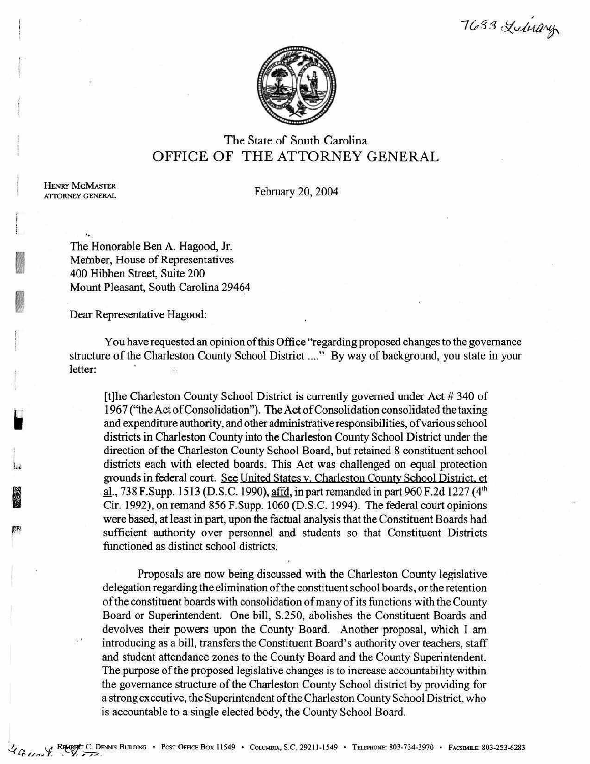,  $7633$  Lulevary



# The State of South Carolina OFFICE OF THE ATTORNEY GENERAL

HENRY MCMASTER<br>ATTORNEY GENERAL

,,

**In all of the second second** 

.

## February 20, 2004

"•·. The Honorable Ben A. Hagood, Jr. Member, House of Representatives 400 Hibben Street, Suite 200 Mount Pleasant, South Carolina 29464

Dear Representative Hagood:

You have requested an opinion of this Office "regarding proposed changes to the governance structure of the Charleston County School District ...." By way of background, you state in your letter: œ.

[t]he Charleston County School District is currently governed under Act # 340 of 1967 ("the Act of Consolidation"). The Act of Consolidation consolidated the taxing and expenditure authority, and other administrative responsibilities, of various school districts in Charleston County into the Charleston County School District under the direction of the Charleston County School Board, but retained 8 constituent school districts each with elected boards. This Act was challenged on equal protection grounds in federal court. See United States v. Charleston County School District. et al., 738 F.Supp. 1513 (D.S.C. 1990), affd, in part remanded in part 960 F.2d 1227 (4<sup>th</sup> Cir. 1992), on remand 856 F.Supp. 1060 (D.S.C. 1994). The federal court opinions were based, at least in part, upon the factual analysis that the Constituent Boards had sufficient authority over personnel and students so that Constituent Districts functioned as distinct school districts.

Proposals are now being discussed with the Charleston County legislative delegation regarding the elimination of the constituent school boards, or the retention of the constituent boards with consolidation of many of its functions with the County Board or Superintendent. One bill, S.250, abolishes the Constituent Boards and devolves their powers upon the County Board. Another proposal, which I am introducing as a bill, transfers the Constituent Board's authority over teachers, staff and student attendance zones to the County Board and the County Superintendent. The purpose of the proposed legislative changes is to increase accountability within the governance structure of the Charleston County School district by providing for a strong executive, the Superintendent of the Charleston County School District, who is accountable to a single elected body, the County School Board.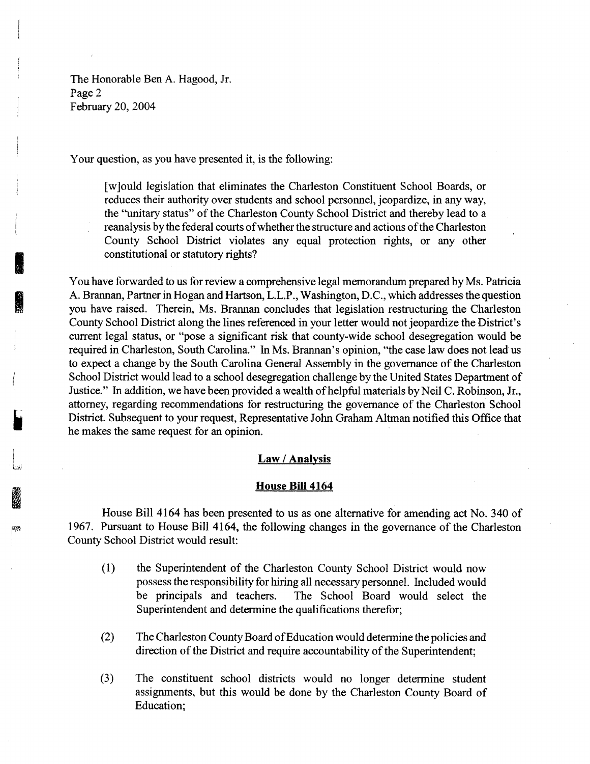The Honorable Ben A. Hagood, Jr. Page 2 February 20, 2004

**i** 

**I** 

Your question, as you have presented it, is the following:

[w]ould legislation that eliminates the Charleston Constituent School Boards, or reduces their authority over students and school personnel, jeopardize, in any way, the "unitary status" of the Charleston County School District and thereby lead to a reanalysis by the federal courts of whether the structure and actions of the Charleston County School District violates any equal protection rights, or any other constitutional or statutory rights?

You have forwarded to us for review a comprehensive legal memorandum prepared by Ms. Patricia A. Brannan, Partner in Hogan and Hartson, L.L.P., Washington, D.C., which addresses the question you have raised. Therein, Ms. Brannan concludes that legislation restructuring the Charleston County School District along the lines referenced in your letter would not jeopardize the District's current legal status, or "pose a significant risk that county-wide school desegregation would be required in Charleston, South Carolina." In Ms. Brannan's opinion, "the case law does not lead us to expect a change by the South Carolina General Assembly in the governance of the Charleston School District would lead to a school desegregation challenge by the United States Department of Justice." In addition, we have been provided a wealth of helpful materials by Neil C. Robinson, Jr., attorney, regarding recommendations for restructuring the governance of the Charleston School District. Subsequent to your request, Representative John Graham Altman notified this Office that he makes the same request for an opinion.

### **Law I Analysis**

#### **House Bill 4164**

House Bill 4164 has been presented to us as one alternative for amending act No. 340 of 1967. Pursuant to House Bill 4164, the following changes in the governance of the Charleston County School District would result:

- (1) the Superintendent of the Charleston County School District would now possess the responsibility for hiring all necessary personnel. Included would be principals and teachers. The School Board would select the Superintendent and determine the qualifications therefor;
- (2) The Charleston County Board of Education would determine the policies and direction of the District and require accountability of the Superintendent;
- (3) The constituent school districts would no longer determine student assignments, but this would be done by the Charleston County Board of Education;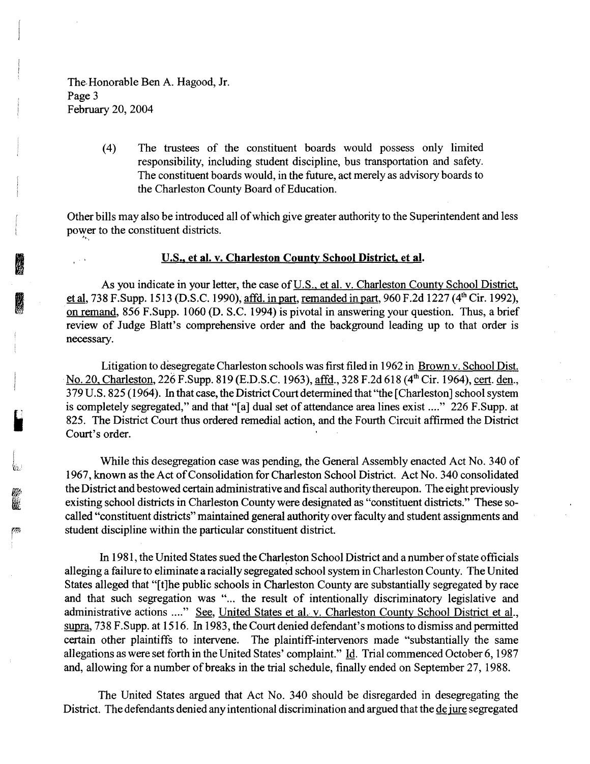The Honorable Ben A. Hagood, Jr. Page 3 February 20, 2004

I

 $T_{\rm \star}$ 

**I** 

If I:

~ I

(4) The trustees of the constituent boards would possess only limited responsibility, including student discipline, bus transportation and safety. The constituent boards would, in the future, act merely as advisory boards to the Charleston County Board of Education.

Other bills may also be introduced all of which give greater authority to the Superintendent and less power to the constituent districts.

#### U.S., **et al. v. Charleston County School District, et al.**

As you indicate in your letter, the case of U.S., et al. v. Charleston County School District, et al, 738 F.Supp. 1513 (D.S.C. 1990), affd. in part, remanded in part, 960 F.2d 1227 (4<sup>th</sup> Cir. 1992), on remand, 856 F.Supp. 1060 (D. S.C. 1994) is pivotal in answering your question. Thus, a brief review of Judge Blatt's comprehensive order and the background leading up to that order is necessary.

Litigation to desegregate Charleston schools was first filed in 1962 in Brown v. School Dist. No. 20, Charleston, 226 F.Supp. 819 (E.D.S.C. 1963), <u>affd</u>., 328 F.2d 618 (4<sup>th</sup> Cir. 1964), <u>cert</u>. <u>den</u>., 3 79 U.S. 825 ( 1964 ). In that case, the District Court determined that "the [Charleston] school system is completely segregated," and that "[a] dual set of attendance area lines exist ...." 226 F.Supp. at 825. The District Court thus ordered remedial action, and the Fourth Circuit affirmed the District Court's order.

While this desegregation case was pending, the General Assembly enacted Act No. 340 of 1967, known as the Act of Consolidation for Charleston School District. Act No. 340 consolidated the District and bestowed certain administrative and fiscal authority thereupon. The eight previously existing school districts in Charleston County were designated as "constituent districts." These socalled "constituent districts" maintained general authority over faculty and student assignments and student discipline within the particular constituent district.

In 1981, the United States sued the Charleston School District and a number of state officials alleging a failure to eliminate a racially segregated school system in Charleston County. The United States alleged that "[t]he public schools in Charleston County are substantially segregated by race and that such segregation was "... the result of intentionally discriminatory legislative and administrative actions ...." See, United States et al. v. Charleston County School District et al., supra, 738 F.Supp. at 1516. In 1983, the Court denied defendant's motions to dismiss and permitted certain other plaintiffs to intervene. The plaintiff-intervenors made "substantially the same allegations as were set forth in the United States' complaint." Id. Trial commenced October 6, 1987 and, allowing for a number of breaks in the trial schedule, finally ended on September 27, 1988.

The United States argued that Act No. 340 should be disregarded in desegregating the District. The defendants denied any intentional discrimination and argued that the de jure segregated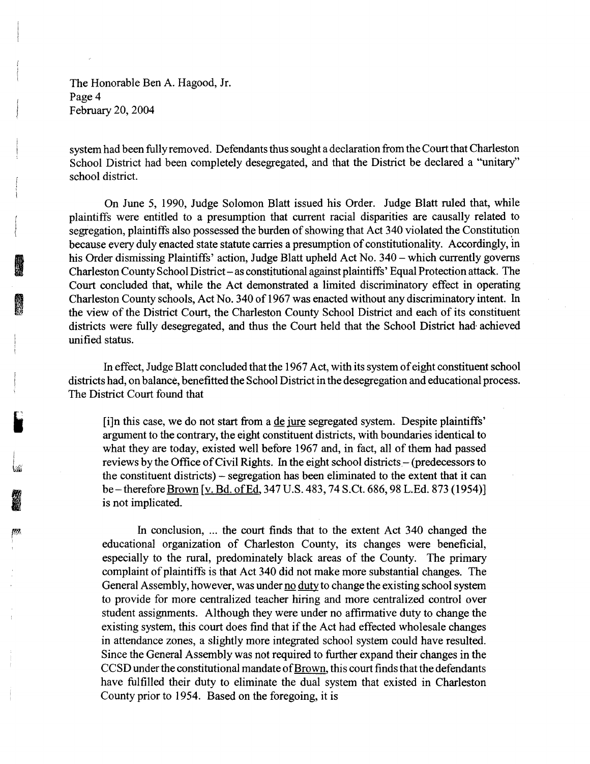The Honorable Ben A. Hagood, Jr. Page 4 February 20, 2004

**INSTEAD OF STREET** 

**INSTEAD OF** 

system had been fully removed. Defendants thus sought a declaration from the Court that Charleston School District had been completely desegregated, and that the District be declared a "unitary" school district.

On June 5, 1990, Judge Solomon Blatt issued his Order. Judge Blatt ruled that, while plaintiffs were entitled to a presumption that current racial disparities are causally related to segregation, plaintiffs also possessed the burden of showing that Act 340 violated the Constitution because every duly enacted state statute carries a presumption of constitutionality. Accordingly, in his Order dismissing Plaintiffs' action, Judge Blatt upheld Act No. 340 – which currently governs Charleston County School District-as constitutional against plaintiffs' Equal Protection attack. The Court concluded that, while the Act demonstrated a limited discriminatory effect in operating Charleston County schools, Act No. 340 of 1967 was enacted without any discriminatory intent. In the view of the District Court, the Charleston County School District and each of its constituent districts were fully desegregated, and thus the Court held that the School District had· achieved unified status.

In effect, Judge Blatt concluded that the 1967 Act, with its system of eight constituent school districts had, on balance, benefitted the School District in the desegregation and educational process. The District Court found that

[i]n this case, we do not start from a de jure segregated system. Despite plaintiffs' argument to the contrary, the eight constituent districts, with boundaries identical to what they are today, existed well before 1967 and, in fact, all of them had passed reviews by the Office of Civil Rights. In the eight school districts – (predecessors to the constituent districts)- segregation has been eliminated to the extent that it can be – therefore **Brown** [v. Bd. of Ed. 347 U.S. 483, 74 S.Ct. 686, 98 L.Ed. 873 (1954)] is not implicated.

In conclusion, ... the court finds that to the extent Act 340 changed the educational organization of Charleston County, its changes were beneficial, especially to the rural, predominately black areas of the County. The primary complaint of plaintiffs is that Act 340 did not make more substantial changes. The General Assembly, however, was under no duty to change the existing school system to provide for more centralized teacher hiring and more centralized control over student assignments. Although they were under no affirmative duty to change the existing system, this court does find that if the Act had effected wholesale changes in attendance zones, a slightly more integrated school system could have resulted. Since the General Assembly was not required to further expand their changes in the CCSD under the constitutional mandate of Brown, this court finds that the defendants have fulfilled their duty to eliminate the dual system that existed in Charleston County prior to 1954. Based on the foregoing, it is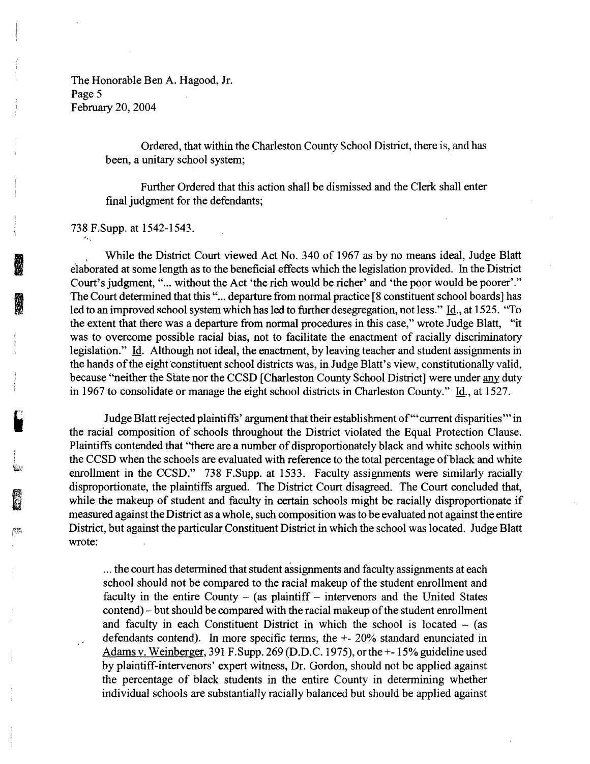The Honorable Ben A. Hagood, Jr. Page 5 February 20, 2004

> Ordered, that within the Charleston County School District, there is, and has been, a unitary school system;

> Further Ordered that this action shall be dismissed and the Clerk shall enter final judgment for the defendants;

738 F.Supp. at 1542-1543.

**INSTEAD** 

**INSTANTA** 

f **\*** 

I'

While the District Court viewed Act No. 340 of 1967 as by no means ideal, Judge Blatt elaborated at some length as to the beneficial effects which the legislation provided. In the District Court's judgment, "... without the Act 'the rich would be richer' and 'the poor would be poorer'." The Court determined that this "... departure from normal practice [8 constituent school boards] has led to an improved school system which has led to further desegregation, not less." Id., at 1525. "To the extent that there was a departure from normal procedures in this case," wrote Judge Blatt, "it was to overcome possible racial bias, not to facilitate the enactment of racially discriminatory legislation." Id. Although not ideal, the enactment, by leaving teacher and student assignments in the hands of the eight constituent school districts was, in Judge Blatt's view, constitutionally valid, because "neither the State nor the CCSD [Charleston County School District] were under any duty in 1967 to consolidate or manage the eight school districts in Charleston County." Id., at 1527.

Judge Blatt rejected plaintiffs' argument that their establishment of'" current disparities'" in the racial composition of schools throughout the District violated the Equal Protection Clause. Plaintiffs contended that "there are a number of disproportionately black and white schools within the CCSD when the schools are evaluated with reference to the total percentage of black and white enrollment in the CCSD." 738 F.Supp. at 1533. Faculty assignments were similarly racially disproportionate, the plaintiffs argued. The District Court disagreed. The Court concluded that, while the makeup of student and faculty in certain schools might be racially disproportionate if measured against the District as a whole, such composition was to be evaluated not against the entire District, but against the particular Constituent District in which the school was located. Judge Blatt wrote:

... the court has determined that student assignments and faculty assignments at each school should not be compared to the racial makeup of the student enrollment and faculty in the entire County  $-$  (as plaintiff  $-$  intervenors and the United States contend)- but should be compared with the racial makeup of the student enrollment and faculty in each Constituent District in which the school is located  $-$  (as defendants contend). In more specific terms, the +- 20% standard enunciated in Adams v. Weinberger, 391 F.Supp. 269 (D.D.C. 1975), or the +-15% guideline used by plaintiff-intervenors' expert witness, Dr. Gordon, should not be applied against the percentage of black students in the entire County in determining whether individual schools are substantially racially balanced but should be applied against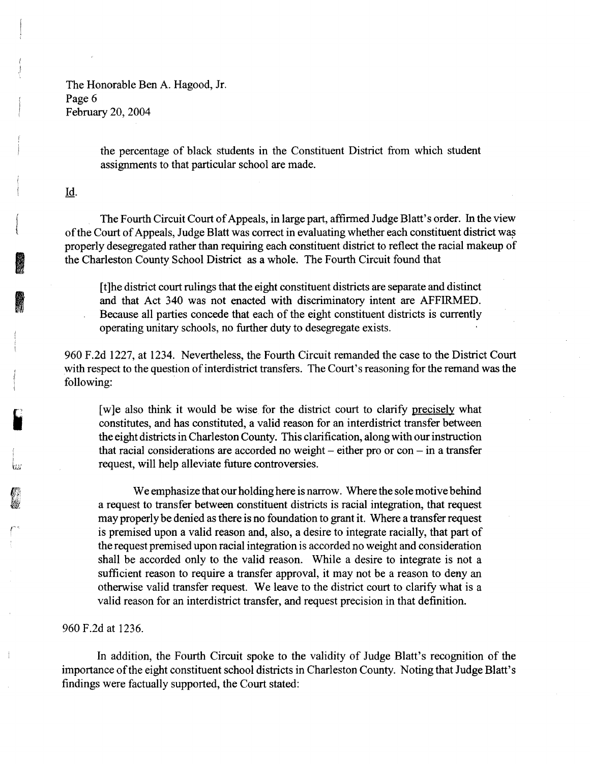The Honorable Ben A. Hagood, Jr. Page 6 February 20, 2004

> the percentage of black students in the Constituent District from which student assignments to that particular school are made.

## Id.

I

lu;

**IDENT** 

I

The Fourth Circuit Court of Appeals, in large part, affirmed Judge Blatt's order. In the view of the Court of Appeals, Judge Blatt was correct in evaluating whether each constituent district was properly desegregated rather than requiring each constituent district to reflect the racial makeup of the Charleston County School District as a whole. The Fourth Circuit found that

[t]he district court rulings that the eight constituent districts are separate and distinct and that Act 340 was not enacted with discriminatory intent are AFFIRMED. Because all parties concede that each of the eight constituent districts is currently operating unitary schools, no further duty to desegregate exists.

960 F.2d 1227, at 1234. Nevertheless, the Fourth Circuit remanded the case to the District Court with respect to the question of interdistrict transfers. The Court's reasoning for the remand was the following:

[w]e also think it would be wise for the district court to clarify precisely what constitutes, and has constituted, a valid reason for an interdistrict transfer between the eight districts in Charleston County. This clarification, along with our instruction that racial considerations are accorded no weight  $-$  either pro or con  $-$  in a transfer request, will help alleviate future controversies.

We emphasize that our holding here is narrow. Where the sole motive behind a request to transfer between constituent districts is racial integration, that request may properly be denied as there is no foundation to grant it. Where a transfer request is premised upon a valid reason and, also, a desire to integrate racially, that part of the request premised upon racial integration is accorded no weight and consideration shall be accorded only to the valid reason. While a desire to integrate is not a sufficient reason to require a transfer approval, it may not be a reason to deny an otherwise valid transfer request. We leave to the district court to clarify what is a valid reason for an interdistrict transfer, and request precision in that definition.

# 960 F.2d at 1236.

In addition, the Fourth Circuit spoke to the validity of Judge Blatt's recognition of the importance of the eight constituent school districts in Charleston County. Noting that Judge Blatt's findings were factually supported, the Court stated: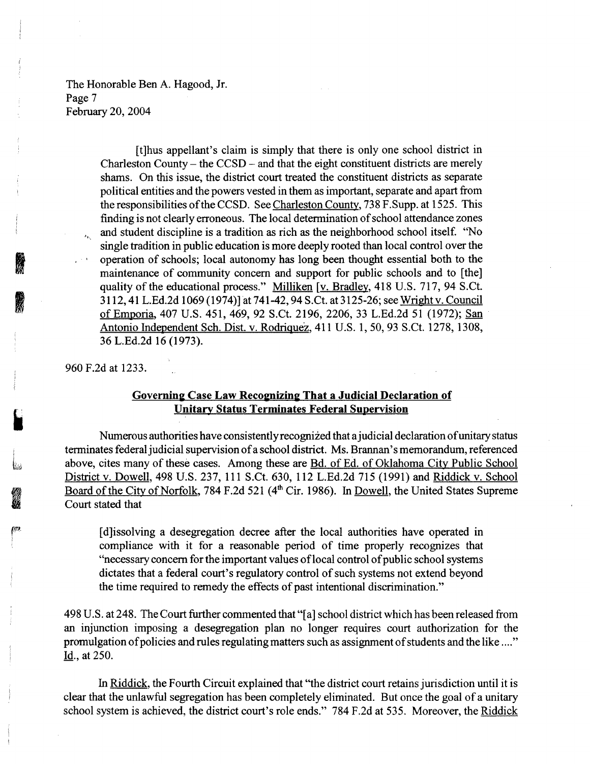The Honorable Ben A. Hagood, Jr. Page 7 February 20, 2004

> [t]hus appellant's claim is simply that there is only one school district in Charleston County – the  $CCSD$  – and that the eight constituent districts are merely shams. On this issue, the district court treated the constituent districts as separate political entities and the powers vested in them as important, separate and apart from the responsibilities of the CCSD. See Charleston County, 738 F. Supp. at 1525. This finding is not clearly erroneous. The local determination of school attendance zones and student discipline is a tradition as rich as the neighborhood school itself. 'No single tradition in public education is more deeply rooted than local control over the · operation of schools; local autonomy has long been thought essential both to the maintenance of community concern and support for public schools and to [the] quality of the educational process." Milliken [v. Bradley, 418 U.S. 717, 94 S.Ct. 3112, 41 L.Ed.2d 1069 (1974)] at 741-42, 94 S.Ct. at 3125-26; see Wright v. Council of Emporia, 407 U.S. 451, 469, 92 S.Ct. 2196, 2206, 33 L.Ed.2d 51 (1972); San Antonio Independent Sch. Dist. v. Rodriquez, 411 U.S. 1, 50, 93 S.Ct. 1278, 1308, 36 L.Ed.2d 16 (1973).

960 F.2d at 1233.

**INSURANCE** 

**INSTEAD OF STREET** 

**I** 

# Governing Case Law Recognizing That a Judicial Declaration of Unitary Status Terminates Federal Supervision

Numerous authorities have consistently recognized that a judicial declaration of unitary status terminates federal judicial supervision of a school district. Ms. Brannan' s memorandum, referenced above, cites many of these cases. Among these are Bd. of Ed. of Oklahoma City Public School District v. Dowell, 498 U.S. 237, 111 S.Ct. 630, 112 L.Ed.2d 715 (1991) and Riddick v. School Board of the City of Norfolk, 784 F.2d 521 (4<sup>th</sup> Cir. 1986). In Dowell, the United States Supreme Court stated that

[ d]issolving a desegregation decree after the local authorities have operated in compliance with it for a reasonable period of time properly recognizes that "necessary concern for the important values of local control of public school systems dictates that a federal court's regulatory control of such systems not extend beyond the time required to remedy the effects of past intentional discrimination."

498 U.S. at 248. The Court further commented that"[ a] school district which has been released from an injunction imposing a desegregation plan no longer requires court authorization for the promulgation of policies and rules regulating matters such as assignment of students and the like .... " Id., at 250.

In Riddick, the Fourth Circuit explained that "the district court retains jurisdiction until it is clear that the unlawful segregation has been completely eliminated. But once the goal of a unitary school system is achieved, the district court's role ends." 784 F.2d at 535. Moreover, the Riddick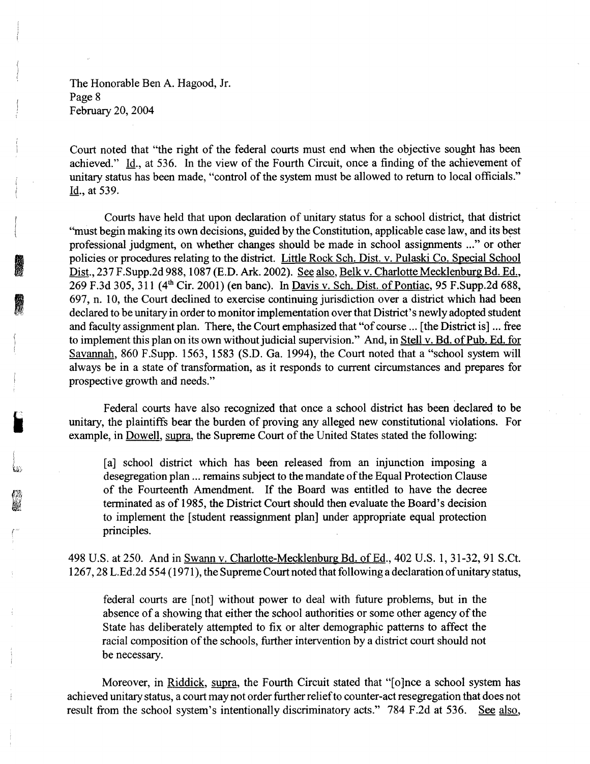The Honorable Ben A. Hagood, Jr. Page 8 February 20, 2004

I

**INSTEAD OF STREET** 

r··

Court noted that "the right of the federal courts must end when the objective sought has been achieved." Id., at 536. In the view of the Fourth Circuit, once a finding of the achievement of unitary status has been made, "control of the system must be allowed to return to local officials." Id., at 539.

Courts have held that upon declaration of unitary status for a school district, that district "must begin making its own decisions, guided by the Constitution, applicable case law, and its best professional judgment, on whether changes should be made in school assignments ..." or other policies or procedures relating to the district. Little Rock Sch. Dist. v. Pulaski Co. Special School Dist., 237 F.Supp.2d 988, 1087 (E.D. Ark. 2002). See also, Belk v. Charlotte Mecklenburg Bd. Ed., 269 F.3d 305, 311 (4<sup>th</sup> Cir. 2001) (en banc). In <u>Davis v. Sch. Dist. of Pontiac</u>, 95 F.Supp.2d 688, 697, n. 10, the Court declined to exercise continuing jurisdiction over a district which had been declared to be unitary in order to monitor implementation over that District's newly adopted student and faculty assignment plan. There, the Court emphasized that "of course ... [the District is] ... free to implement this plan on its own without judicial supervision." And, in Stell v. Bd. of Pub. Ed. for Savannah, 860 F.Supp. 1563, 1583 (S.D. Ga. 1994), the Court noted that a "school system will always be in a state of transformation, as it responds to current circumstances and prepares for prospective growth and needs."

Federal courts have also recognized that once a school district has been declared to be unitary, the plaintiffs bear the burden of proving any alleged new constitutional violations. For example, in Dowell, supra, the Supreme Court of the United States stated the following:

[a] school district which has been released from an injunction imposing a desegregation plan ... remains subject to the mandate of the Equal Protection Clause of the Fourteenth Amendment. If the Board was entitled to have the decree terminated as of 1985, the District Court should then evaluate the Board's decision to implement the [student reassignment plan] under appropriate equal protection principles.

498 U.S. at 250. And in Swann v. Charlotte-Mecklenburg Bd. of Ed., 402 U.S. 1, 31-32, 91 S.Ct. 1267, 28 L.Ed.2d 554 ( 1971 ), the Supreme Court noted that following a declaration of unitary status,

federal courts are [not] without power to deal with future problems, but in the absence of a showing that either the school authorities or some other agency of the State has deliberately attempted to fix or alter demographic patterns to affect the racial composition of the schools, further intervention by a district court should not be necessary.

Moreover, in Riddick, supra, the Fourth Circuit stated that "[o]nce a school system has achieved unitary status, a court may not order further relief to counter-act resegregation that does not result from the school system's intentionally discriminatory acts." 784 F.2d at 536. See also,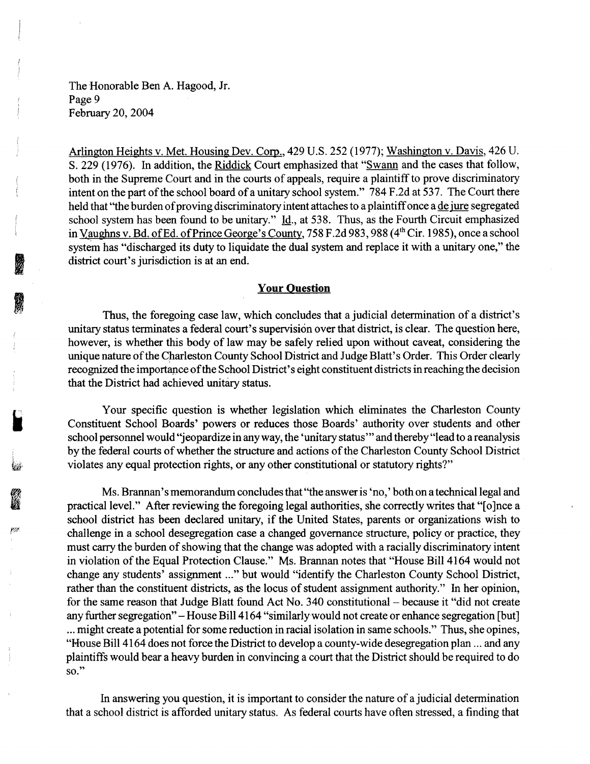The Honorable Ben A. Hagood, Jr. Page 9 February 20, 2004

Arlington Heights v. Met. Housing Dev. Corp., 429 U.S. 252 (1977); Washington v. Davis, 426 U. S. 229 (1976). In addition, the Riddick Court emphasized that "Swann and the cases that follow, both in the Supreme Court and in the courts of appeals, require a plaintiff to prove discriminatory intent on the part of the school board of a unitary school system." 784 F.2d at 537. The Court there held that "the burden of proving discriminatory intent attaches to a plaintiff once a <u>de jure</u> segregated school system has been found to be unitary." Id., at 538. Thus, as the Fourth Circuit emphasized in Vaughns v. Bd. of Ed. of Prince George's County, 758 F.2d 983, 988 (4<sup>th</sup> Cir. 1985), once a school system has "discharged its duty to liquidate the dual system and replace it with a unitary one," the district court's jurisdiction is at an end.

## **Your Question**

Thus, the foregoing case law, which concludes that a judicial determination of a district's unitary status terminates a federal court's supervision over that district, is clear. The question here, however, is whether this body of law may be safely relied upon without caveat, considering the unique nature of the Charleston County School District and Judge Blatt's Order. This Order clearly recognized the importance of the School District's eight constituent districts in reaching the decision that the District had achieved unitary status.

Your specific question is whether legislation which eliminates the Charleston County Constituent School Boards' powers or reduces those Boards' authority over students and other school personnel would "jeopardize in any way, the 'unitary status"' and thereby "lead to a reanalysis by the federal courts of whether the structure and actions of the Charleston County School District violates any equal protection rights, or any other constitutional or statutory rights?"

Ms. Brannan' s memorandum concludes that ''the answer is 'no,' both on a technical legal and practical level." After reviewing the foregoing legal authorities, she correctly writes that "[o]nce a school district has been declared unitary, if the United States, parents or organizations wish to challenge in a school desegregation case a changed governance structure, policy or practice, they must carry the burden of showing that the change was adopted with a racially discriminatory intent in violation of the Equal Protection Clause." Ms. Brannan notes that "House Bill 4164 would not change any students' assignment ..." but would "identify the Charleston County School District, rather than the constituent districts, as the locus of student assignment authority." In her opinion, for the same reason that Judge Blatt found Act No. 340 constitutional - because it "did not create any further segregation" - House Bill 4164 "similarlywould not create or enhance segregation [but] ... might create a potential for some reduction in racial isolation in same schools." Thus, she opines, "House Bill 4164 does not force the District to develop a county-wide desegregation plan ... and any plaintiffs would bear a heavy burden in convincing a court that the District should be required to do so."

In answering you question, it is important to consider the nature of a judicial determination that a school district is afforded unitary status. As federal courts have often stressed, a finding that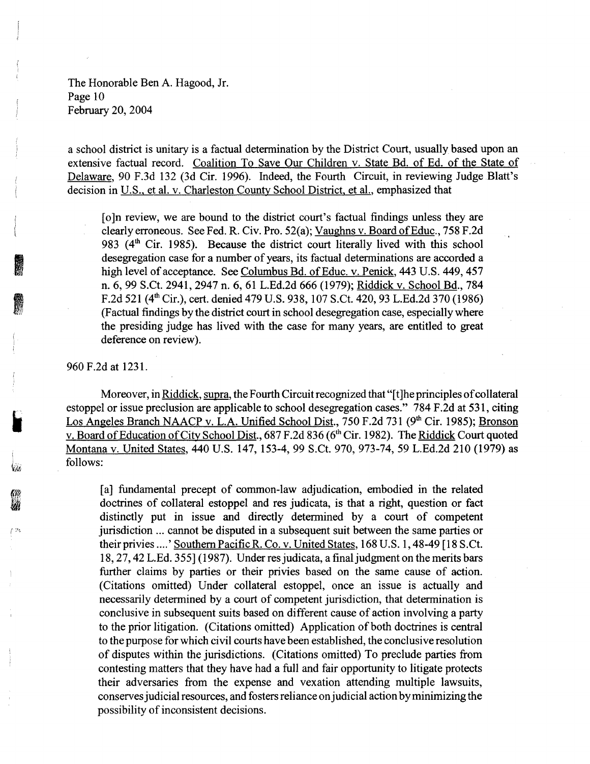The Honorable Ben A. Hagood, Jr. Page 10 February 20, 2004

a school district is unitary is a factual determination by the District Court, usually based upon an extensive factual record. Coalition To Save Our Children v. State Bd. of Ed. of the State of Delaware, 90 F.3d 132 (3d Cir. 1996). Indeed, the Fourth Circuit, in reviewing Judge Blatt's decision in U.S., et al. v. Charleston County School District, et al., emphasized that

[o]n review, we are bound to the district court's factual findings unless they are clearly erroneous. See Fed. R. Civ. Pro. 52(a); Vaughns v. Board of Educ., 758 F.2d 983 (4<sup>th</sup> Cir. 1985). Because the district court literally lived with this school desegregation case for a number of years, its factual determinations are accorded a high level of acceptance. See Columbus Bd. of Educ. v. Penick, 443 U.S. 449, 457 n. 6, 99 S.Ct. 2941, 2947 n. 6, 61L.Ed.2d666 (1979); Riddick v. School Bd., 784 F.2d 521 (4<sup>th</sup> Cir.), cert. denied 479 U.S. 938, 107 S.Ct. 420, 93 L.Ed.2d 370 (1986) (Factual findings by the district court in school desegregation case, especially where the presiding judge has lived with the case for many years, are entitled to great deference on review).

960 F.2d at 1231.

I

I ,

 $/2$ 

Moreover, in Riddick, supra, the Fourth Circuit recognized that "[t]he principles of collateral estoppel or issue preclusion are applicable to school desegregation cases." 784 F.2d at 531, citing Los Angeles Branch NAACP v. L.A. Unified School Dist., 750 F.2d 731 (9<sup>th</sup> Cir. 1985); Bronson v. Board of Education of City School Dist., 687 F.2d 836 (6<sup>th</sup> Cir. 1982). The Riddick Court quoted Montana v. United States, 440 U.S. 147, 153-4, 99 S.Ct. 970, 973-74, 59 L.Ed.2d 210 (1979) as follows:

[a] fundamental precept of common-law adjudication, embodied in the related doctrines of collateral estoppel and res judicata, is that a right, question or fact distinctly put in issue and directly determined by a court of competent jurisdiction ... cannot be disputed in a subsequent suit between the same parties or their privies ... .' Southern Pacific R. Co. v. United States, 168 U.S. 1, 48-49 [18 S.Ct. 18, 27, 42 L.Ed. 355] (1987). Underresjudicata, a final judgment on the merits bars further claims by parties or their privies based on the same cause of action. (Citations omitted) Under collateral estoppel, once an issue is actually and necessarily determined by a court of competent jurisdiction, that determination is conclusive in subsequent suits based on different cause of action involving a party to the prior litigation. (Citations omitted) Application of both doctrines is central to the purpose for which civil courts have been established, the conclusive resolution of disputes within the jurisdictions. (Citations omitted) To preclude parties from contesting matters that they have had a full and fair opportunity to litigate protects their adversaries from the expense and vexation attending multiple lawsuits, conserves judicial resources, and fosters reliance on judicial action by minimizing the possibility of inconsistent decisions.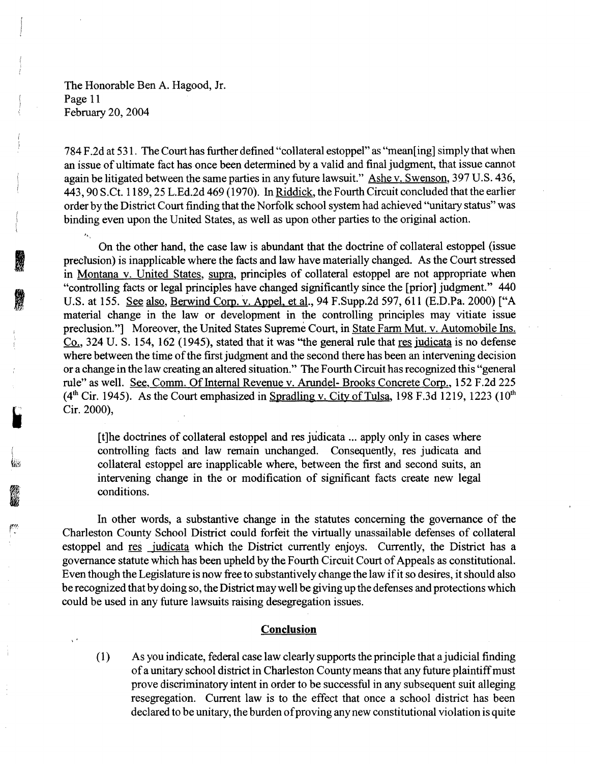The Honorable Ben A. Hagood, Jr. Page 11 February 20, 2004

.I

**INSTEAD OF STREET** 

I'

784 F .2d at 5 31. The Court has further defined "collateral estoppel" as "mean[ ing] simply that when an issue of ultimate fact has once been determined by a valid and final judgment, that issue cannot again be litigated between the same parties in any future lawsuit." Ashe v. Swenson, 397 U.S. 436, 443, 90 S.Ct. 1189, 25 L.Ed.2d 469 (1970). In Riddick, the Fourth Circuit concluded that the earlier order by the District Court finding that the Norfolk school system had achieved ''unitary status" was binding even upon the United States, as well as upon other parties to the original action.

On the other hand, the case law is abundant that the doctrine of collateral estoppel (issue preclusion) is inapplicable where the facts and law have materially changed. As the Court stressed in Montana v. United States, supra, principles of collateral estoppel are not appropriate when "controlling facts or legal principles have changed significantly since the [prior] judgment." 440 U.S. at 155. See also, Berwind Corp. v. Appel. et al., 94 F.Supp.2d 597, 611 (E.D.Pa. 2000) ["A material change in the law or development in the controlling principles may vitiate issue preclusion."] Moreover, the United States Supreme Court, in State Farm Mut. v. Automobile Ins. Co., 324 U.S. 154, 162 (1945), stated that it was "the general rule that res judicata is no defense where between the time of the first judgment and the second there has been an intervening decision or a change in the law creating an altered situation." The Fourth Circuit has recognized this "general rule" as well. See, Comm. Of Internal Revenue v. Arundel- Brooks Concrete Corp., 152 F.2d 225  $(4<sup>th</sup> Cir. 1945)$ . As the Court emphasized in Spradling v. City of Tulsa, 198 F.3d 1219, 1223 (10<sup>th</sup>) Cir. 2000),

[t]he doctrines of collateral estoppel and res judicata ... apply only in cases where controlling facts and law remain unchanged. Consequently, res judicata and collateral estoppel are inapplicable where, between the first and second suits, an intervening change in the or modification of significant facts create new legal conditions.

In other words, a substantive change in the statutes concerning the governance of the Charleston County School District could forfeit the virtually unassailable defenses of collateral estoppel and res judicata which the District currently enjoys. Currently, the District has a governance statute which has been upheld by the Fourth Circuit Court of Appeals as constitutional. Even though the Legislature is now free to substantively change the law if it so desires, it should also be recognized that by doing so, the District may well be giving up the defenses and protections which could be used in any future lawsuits raising desegregation issues.

### **Conclusion**

(1) As you indicate, federal case law clearly supports the principle that a judicial finding of a unitary school district in Charleston County means that any future plaintiff must prove discriminatory intent in order to be successful in any subsequent suit alleging resegregation. Current law is to the effect that once a school district has been declared to be unitary, the burden of proving any new constitutional violation is quite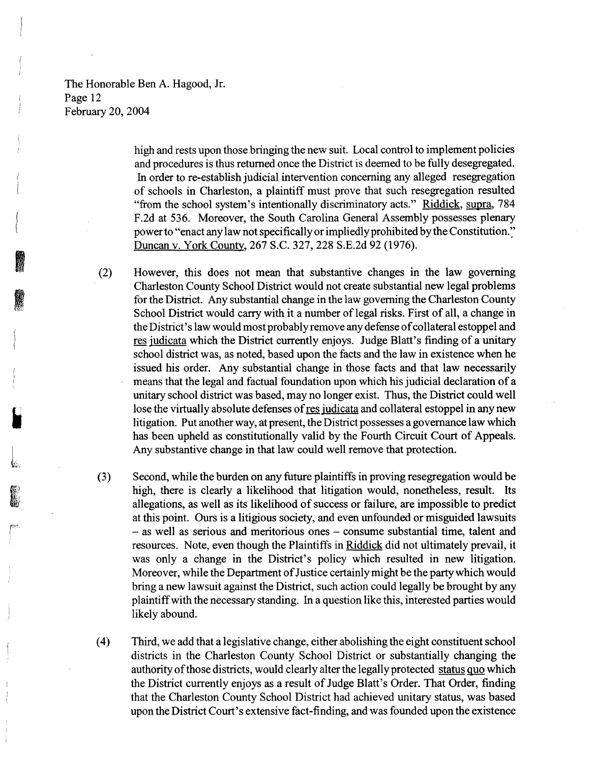The Honorable Ben A. Hagood, Jr. Page 12 February 20, 2004

> high and rests upon those bringing the new suit. Local control to implement policies and procedures is thus returned once the District is deemed to be fully desegregated. In order to re-establish judicial intervention concerning any alleged resegregation of schools in Charleston, a plaintiff must prove that such resegregation resulted "from the school system's intentionally discriminatory acts." Riddick, supra, 784 F.2d at 536. Moreover, the South Carolina General Assembly possesses plenary power to "enact any law not specifically or impliedly prohibited by the Constitution." Duncan v. York County, 267 S.C. 327, 228 S.E.2d 92 (1976).

However, this does not mean that substantive changes in the law governing Charleston County School District would not create substantial new legal problems for the District. Any substantial change in the law governing the Charleston County School District would carry with it a number of legal risks. First of all, a change in the District's law would most probably remove any defense of collateral estoppel and res judicata which the District currently enjoys. Judge Blatt's finding of a unitary school district was, as noted, based upon the facts and the law in existence when he issued his order. Any substantial change in those facts and that law necessarily means that the legal and factual foundation upon which his judicial declaration of a unitary school district was based, may no longer exist. Thus, the District could well lose the virtually absolute defenses of res judicata and collateral estoppel in any new litigation. Put another way, at present, the District possesses a governance law which has been upheld as constitutionally valid by the Fourth Circuit Court of Appeals. Any substantive change in that law could well remove that protection.

- (3) Second, while the burden on any future plaintiffs in proving resegregation would be high, there is clearly a likelihood that litigation would, nonetheless, result. Its allegations, as well as its likelihood of success or failure, are impossible to predict at this point. Ours is a litigious society, and even unfounded or misguided lawsuits - as well as serious and meritorious ones - consume substantial time, talent and resources. Note, even though the Plaintiffs in Riddick did not ultimately prevail, it was only a change in the District's policy which resulted in new litigation. Moreover, while the Department of Justice certainly might be the party which would bring a new lawsuit against the District, such action could legally be brought by any plaintiff with the necessary standing. In a question like this, interested parties would likely abound.
- ( 4) Third, we add that a legislative change, either abolishing the eight constituent school districts in the Charleston County School District or substantially changing the authority of those districts, would clearly alter the legally protected status quo which the District currently enjoys as a result of Judge Blatt's Order. That Order, finding that the Charleston County School District had achieved unitary status, was based upon the District Court's extensive fact-finding, and was founded upon the existence

(2)

I

**IN SERIES** I ;<br>}<br>}